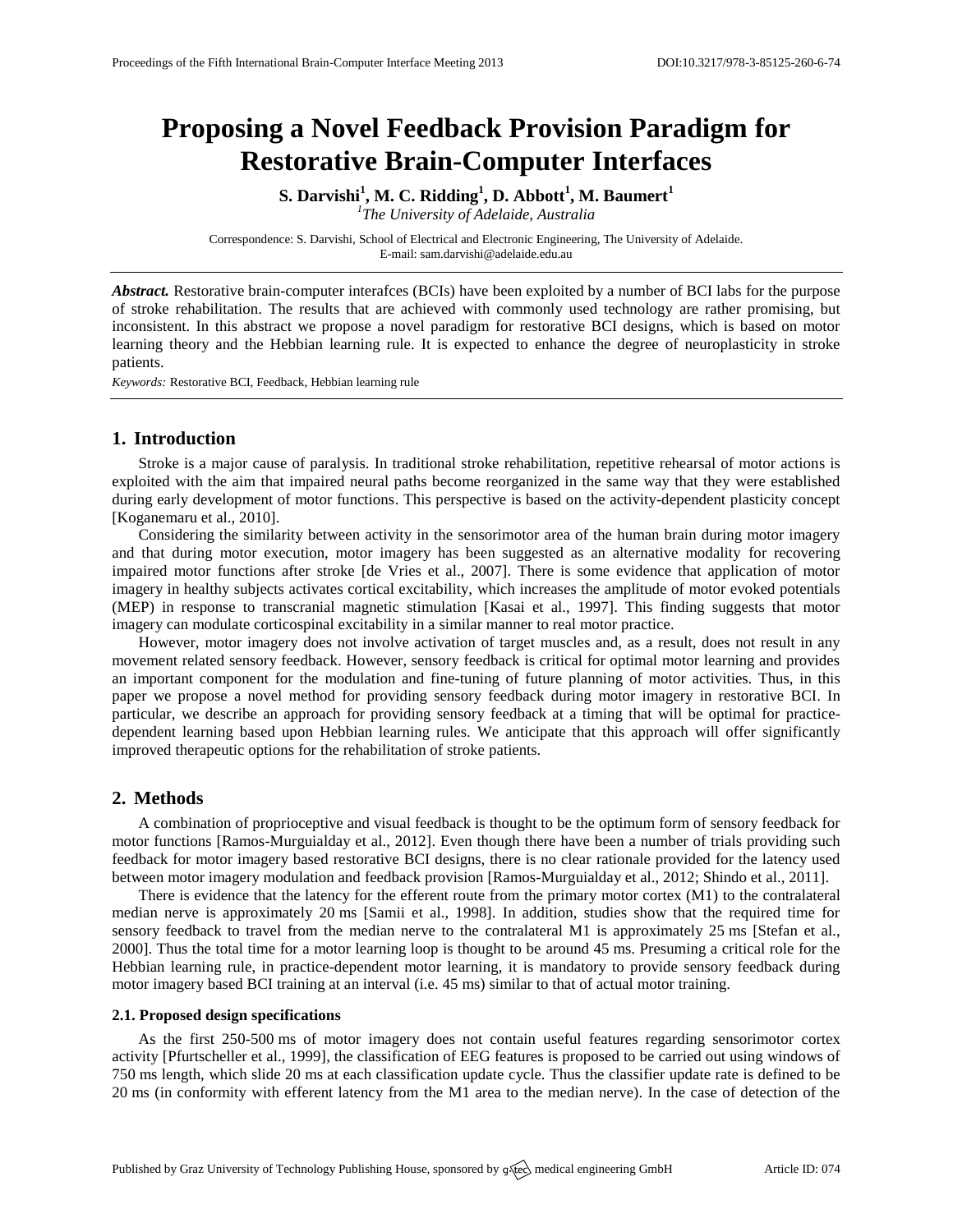# **Proposing a Novel Feedback Provision Paradigm for Restorative Brain-Computer Interfaces**

**S. Darvishi<sup>1</sup> , M. C. Ridding<sup>1</sup> , D. Abbott<sup>1</sup> , M. Baumert<sup>1</sup>** *1 The University of Adelaide, Australia*

Correspondence: S. Darvishi, School of Electrical and Electronic Engineering, The University of Adelaide. E-mail[: sam.darvishi@adelaide.edu.au](mailto:corresponding.author@address.com)

*Abstract.* Restorative brain-computer interafces (BCIs) have been exploited by a number of BCI labs for the purpose of stroke rehabilitation. The results that are achieved with commonly used technology are rather promising, but inconsistent. In this abstract we propose a novel paradigm for restorative BCI designs, which is based on motor learning theory and the Hebbian learning rule. It is expected to enhance the degree of neuroplasticity in stroke patients.

*Keywords:* Restorative BCI, Feedback, Hebbian learning rule

### **1. Introduction**

Stroke is a major cause of paralysis. In traditional stroke rehabilitation, repetitive rehearsal of motor actions is exploited with the aim that impaired neural paths become reorganized in the same way that they were established during early development of motor functions. This perspective is based on the activity-dependent plasticity concept [Koganemaru et al., 2010].

Considering the similarity between activity in the sensorimotor area of the human brain during motor imagery and that during motor execution, motor imagery has been suggested as an alternative modality for recovering impaired motor functions after stroke [de Vries et al., 2007]. There is some evidence that application of motor imagery in healthy subjects activates cortical excitability, which increases the amplitude of motor evoked potentials (MEP) in response to transcranial magnetic stimulation [Kasai et al., 1997]. This finding suggests that motor imagery can modulate corticospinal excitability in a similar manner to real motor practice.

However, motor imagery does not involve activation of target muscles and, as a result, does not result in any movement related sensory feedback. However, sensory feedback is critical for optimal motor learning and provides an important component for the modulation and fine-tuning of future planning of motor activities. Thus, in this paper we propose a novel method for providing sensory feedback during motor imagery in restorative BCI. In particular, we describe an approach for providing sensory feedback at a timing that will be optimal for practicedependent learning based upon Hebbian learning rules. We anticipate that this approach will offer significantly improved therapeutic options for the rehabilitation of stroke patients.

## **2. Methods**

A combination of proprioceptive and visual feedback is thought to be the optimum form of sensory feedback for motor functions [Ramos-Murguialday et al., 2012]. Even though there have been a number of trials providing such feedback for motor imagery based restorative BCI designs, there is no clear rationale provided for the latency used between motor imagery modulation and feedback provision [Ramos-Murguialday et al., 2012; Shindo et al., 2011].

There is evidence that the latency for the efferent route from the primary motor cortex (M1) to the contralateral median nerve is approximately 20 ms [Samii et al., 1998]. In addition, studies show that the required time for sensory feedback to travel from the median nerve to the contralateral M1 is approximately 25 ms [Stefan et al., 2000]. Thus the total time for a motor learning loop is thought to be around 45 ms. Presuming a critical role for the Hebbian learning rule, in practice-dependent motor learning, it is mandatory to provide sensory feedback during motor imagery based BCI training at an interval (i.e. 45 ms) similar to that of actual motor training.

#### **2.1. Proposed design specifications**

As the first 250-500 ms of motor imagery does not contain useful features regarding sensorimotor cortex activity [Pfurtscheller et al., 1999], the classification of EEG features is proposed to be carried out using windows of 750 ms length, which slide 20 ms at each classification update cycle. Thus the classifier update rate is defined to be 20 ms (in conformity with efferent latency from the M1 area to the median nerve). In the case of detection of the